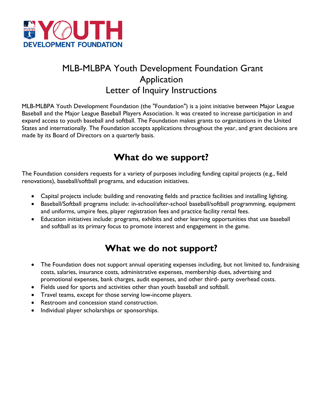

# MLB-MLBPA Youth Development Foundation Grant Application Letter of Inquiry Instructions

MLB-MLBPA Youth Development Foundation (the "Foundation") is a joint initiative between Major League Baseball and the Major League Baseball Players Association. It was created to increase participation in and expand access to youth baseball and softball. The Foundation makes grants to organizations in the United States and internationally. The Foundation accepts applications throughout the year, and grant decisions are made by its Board of Directors on a quarterly basis.

# **What do we support?**

The Foundation considers requests for a variety of purposes including funding capital projects (e.g., field renovations), baseball/softball programs, and education initiatives.

- Capital projects include: building and renovating fields and practice facilities and installing lighting.
- Baseball/Softball programs include: in-school/after-school baseball/softball programming, equipment and uniforms, umpire fees, player registration fees and practice facility rental fees.
- Education initiatives include: programs, exhibits and other learning opportunities that use baseball and softball as its primary focus to promote interest and engagement in the game.

## **What we do not support?**

- The Foundation does not support annual operating expenses including, but not limited to, fundraising costs, salaries, insurance costs, administrative expenses, membership dues, advertising and promotional expenses, bank charges, audit expenses, and other third- party overhead costs.
- Fields used for sports and activities other than youth baseball and softball.
- Travel teams, except for those serving low-income players.
- Restroom and concession stand construction.
- Individual player scholarships or sponsorships.